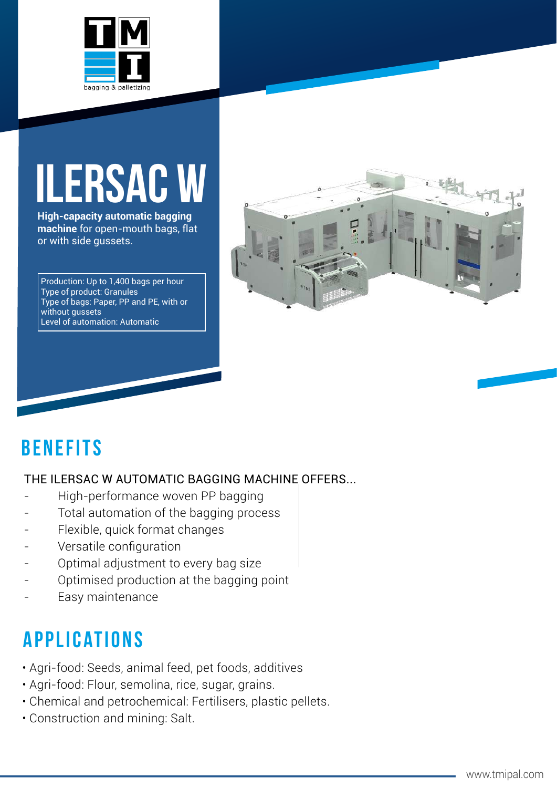

# **ILERsac w**

**High-capacity automatic bagging machine** for open-mouth bags, flat or with side gussets.

Production: Up to 1,400 bags per hour Type of product: Granules Type of bags: Paper, PP and PE, with or without gussets Level of automation: Automatic



## **BenefiTs**

#### THE ILERSAC W AUTOMATIC BAGGING MACHINE OFFERS...

- High-performance woven PP bagging
- Total automation of the bagging process
- Flexible, quick format changes
- Versatile configuration
- Optimal adjustment to every bag size
- Optimised production at the bagging point
- Easy maintenance

# **applications**

- Agri-food: Seeds, animal feed, pet foods, additives
- Agri-food: Flour, semolina, rice, sugar, grains.
- Chemical and petrochemical: Fertilisers, plastic pellets.
- Construction and mining: Salt.